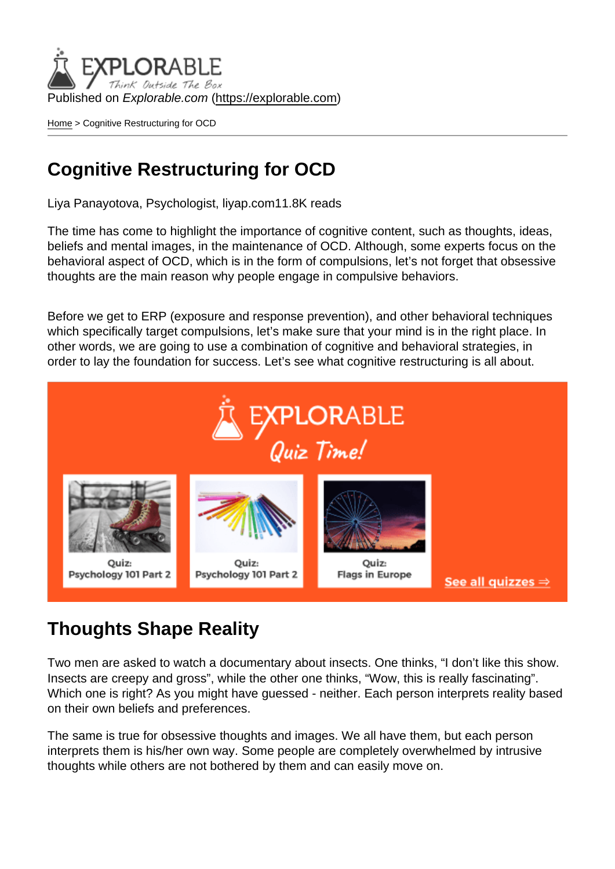Published on Explorable.com (<https://explorable.com>)

[Home](https://explorable.com/) > Cognitive Restructuring for OCD

# Cognitive Restructuring for OCD

Liya Panayotova, Psychologist, liyap.com11.8K reads

The time has come to highlight the importance of cognitive content, such as thoughts, ideas, beliefs and mental images, in the maintenance of OCD. Although, some experts focus on the behavioral aspect of OCD, which is in the form of compulsions, let's not forget that obsessive thoughts are the main reason why people engage in compulsive behaviors.

Before we get to ERP (exposure and response prevention), and other behavioral techniques which specifically target compulsions, let's make sure that your mind is in the right place. In other words, we are going to use a combination of cognitive and behavioral strategies, in order to lay the foundation for success. Let's see what cognitive restructuring is all about.

### Thoughts Shape Reality

Two men are asked to watch a documentary about insects. One thinks, "I don't like this show. Insects are creepy and gross", while the other one thinks, "Wow, this is really fascinating". Which one is right? As you might have guessed - neither. Each person interprets reality based on their own beliefs and preferences.

The same is true for obsessive thoughts and images. We all have them, but each person interprets them is his/her own way. Some people are completely overwhelmed by intrusive thoughts while others are not bothered by them and can easily move on.